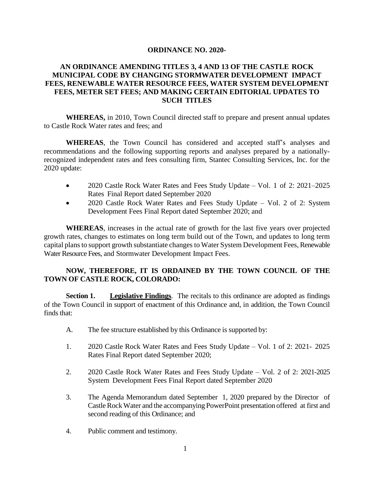#### **ORDINANCE NO. 2020-**

# **AN ORDINANCE AMENDING TITLES 3, 4 AND 13 OF THE CASTLE ROCK MUNICIPAL CODE BY CHANGING STORMWATER DEVELOPMENT IMPACT FEES, RENEWABLE WATER RESOURCE FEES, WATER SYSTEM DEVELOPMENT FEES, METER SET FEES; AND MAKING CERTAIN EDITORIAL UPDATES TO SUCH TITLES**

**WHEREAS,** in 2010, Town Council directed staff to prepare and present annual updates to Castle Rock Water rates and fees; and

**WHEREAS**, the Town Council has considered and accepted staff's analyses and recommendations and the following supporting reports and analyses prepared by a nationallyrecognized independent rates and fees consulting firm, Stantec Consulting Services, Inc. for the 2020 update:

- 2020 Castle Rock Water Rates and Fees Study Update Vol. 1 of 2: 2021–2025 Rates Final Report dated September 2020
- 2020 Castle Rock Water Rates and Fees Study Update Vol. 2 of 2: System Development Fees Final Report dated September 2020; and

**WHEREAS**, increases in the actual rate of growth for the last five years over projected growth rates, changes to estimates on long term build out of the Town, and updates to long term capital plans to support growth substantiate changes to Water System Development Fees, Renewable Water Resource Fees, and Stormwater Development Impact Fees.

# **NOW, THEREFORE, IT IS ORDAINED BY THE TOWN COUNCIL OF THE TOWN OF CASTLE ROCK, COLORADO:**

**Section 1. Legislative Findings**. The recitals to this ordinance are adopted as findings of the Town Council in support of enactment of this Ordinance and, in addition, the Town Council finds that:

- A. The fee structure established by this Ordinance is supported by:
- 1. 2020 Castle Rock Water Rates and Fees Study Update Vol. 1 of 2: 2021- 2025 Rates Final Report dated September 2020;
- 2. 2020 Castle Rock Water Rates and Fees Study Update Vol. 2 of 2: 2021-2025 System Development Fees Final Report dated September 2020
- 3. The Agenda Memorandum dated September 1, 2020 prepared by the Director of CastleRockWater and the accompanying PowerPoint presentation offered at first and second reading of this Ordinance; and
- 4. Public comment and testimony.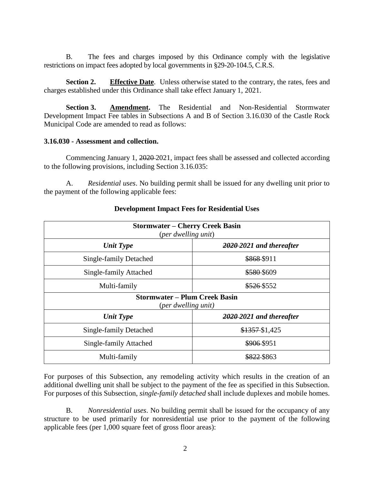B. The fees and charges imposed by this Ordinance comply with the legislative restrictions on impact fees adopted by local governments in §29-20-104.5, C.R.S.

**Section 2. Effective Date**. Unless otherwise stated to the contrary, the rates, fees and charges established under this Ordinance shall take effect January 1, 2021.

**Section 3. Amendment.** The Residential and Non-Residential Stormwater Development Impact Fee tables in Subsections A and B of Section 3.16.030 of the Castle Rock Municipal Code are amended to read as follows:

### **3.16.030 - Assessment and collection.**

Commencing January 1, 2020 2021, impact fees shall be assessed and collected according to the following provisions, including Section 3.16.035:

A. *Residential uses*. No building permit shall be issued for any dwelling unit prior to the payment of the following applicable fees:

| <b>Stormwater – Cherry Creek Basin</b><br>(per dwelling unit) |                          |  |  |
|---------------------------------------------------------------|--------------------------|--|--|
| <b>Unit Type</b>                                              | 2020–2021 and thereafter |  |  |
| Single-family Detached                                        | \$868-\$911              |  |  |
| Single-family Attached                                        | \$580-\$609              |  |  |
| Multi-family                                                  | \$526-\$552              |  |  |
| <b>Stormwater – Plum Creek Basin</b><br>(per dwelling unit)   |                          |  |  |
| <b>Unit Type</b>                                              | 2020–2021 and thereafter |  |  |
| Single-family Detached                                        | $$1357-S1,425$           |  |  |
| Single-family Attached                                        | \$906-\$951              |  |  |
| Multi-family                                                  | \$822 \$863              |  |  |

## **Development Impact Fees for Residential Uses**

For purposes of this Subsection, any remodeling activity which results in the creation of an additional dwelling unit shall be subject to the payment of the fee as specified in this Subsection. For purposes of this Subsection, *single-family detached* shall include duplexes and mobile homes.

B. *Nonresidential uses*. No building permit shall be issued for the occupancy of any structure to be used primarily for nonresidential use prior to the payment of the following applicable fees (per 1,000 square feet of gross floor areas):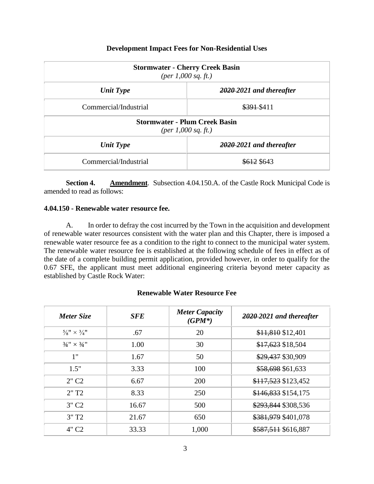# **Development Impact Fees for Non-Residential Uses**

| <b>Stormwater - Cherry Creek Basin</b><br>(per 1,000 sq. ft.) |                          |  |
|---------------------------------------------------------------|--------------------------|--|
| <b>Unit Type</b>                                              | 2020-2021 and thereafter |  |
| Commercial/Industrial                                         | \$391\$411               |  |
| <b>Stormwater - Plum Creek Basin</b><br>(per 1,000 sq. ft.)   |                          |  |
| <b>Unit Type</b>                                              | 2020–2021 and thereafter |  |
| Commercial/Industrial                                         | \$612 \$643              |  |

**Section 4. Amendment**. Subsection 4.04.150.A. of the Castle Rock Municipal Code is amended to read as follows:

## **4.04.150 - Renewable water resource fee.**

A. In order to defray the cost incurred by the Town in the acquisition and development of renewable water resources consistent with the water plan and this Chapter, there is imposed a renewable water resource fee as a condition to the right to connect to the municipal water system. The renewable water resource fee is established at the following schedule of fees in effect as of the date of a complete building permit application, provided however, in order to qualify for the 0.67 SFE, the applicant must meet additional engineering criteria beyond meter capacity as established by Castle Rock Water:

## **Renewable Water Resource Fee**

| Meter Size                                                | <b>SFE</b> | <b>Meter Capacity</b><br>$(GPM^*)$ | $2020-2021$ and thereafter |
|-----------------------------------------------------------|------------|------------------------------------|----------------------------|
| $\frac{5}{8}$ <sup>11</sup> × $\frac{3}{4}$ <sup>11</sup> | .67        | 20                                 | \$11,810 \$12,401          |
| $3/4" \times 3/4"$                                        | 1.00       | 30                                 | \$17,623 \$18,504          |
| 1"                                                        | 1.67       | 50                                 | \$29,437 \$30,909          |
| 1.5"                                                      | 3.33       | 100                                | \$58,698 \$61,633          |
| $2"$ C <sub>2</sub>                                       | 6.67       | 200                                | \$117,523 \$123,452        |
| 2"T2                                                      | 8.33       | 250                                | \$146,833 \$154,175        |
| $3"$ C <sub>2</sub>                                       | 16.67      | 500                                | \$293,844 \$308,536        |
| 3"T2                                                      | 21.67      | 650                                | \$381,979 \$401,078        |
| 4" C <sub>2</sub>                                         | 33.33      | 1,000                              | \$587,511 \$616,887        |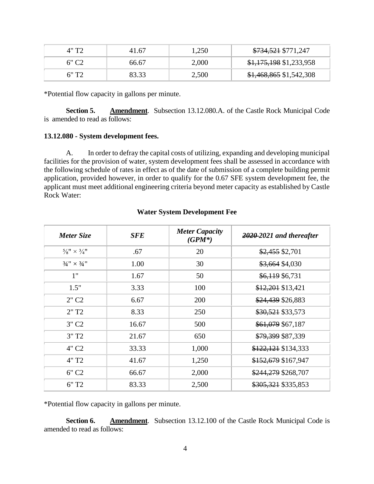| 4"T2  | 41.67 | 1,250 | \$734,521 \$771,247      |
|-------|-------|-------|--------------------------|
|       | 66.67 | 2,000 | \$1,175,198 \$1,233,958  |
| 6" T2 | 83.33 | 2,500 | $$1,468,865$ \$1,542,308 |

\*Potential flow capacity in gallons per minute.

**Section 5. Amendment**. Subsection 13.12.080.A. of the Castle Rock Municipal Code is amended to read as follows:

### **13.12.080 - System development fees.**

A. In order to defray the capital costs of utilizing, expanding and developing municipal facilities for the provision of water, system development fees shall be assessed in accordance with the following schedule of rates in effect as of the date of submission of a complete building permit application, provided however, in order to qualify for the 0.67 SFE system development fee, the applicant must meet additional engineering criteria beyond meter capacity as established by Castle Rock Water:

| <b>Meter Size</b>                 | <b>SFE</b> | <b>Meter Capacity</b><br>$(GPM^*)$ | 2020-2021 and thereafter |
|-----------------------------------|------------|------------------------------------|--------------------------|
| $\frac{5}{8}$ " × $\frac{3}{4}$ " | .67        | 20                                 | \$2,455 \$2,701          |
| $3/4" \times 3/4"$                | 1.00       | 30                                 | \$3,664 \$4,030          |
| 1"                                | 1.67       | 50                                 | \$6,119 \$6,731          |
| 1.5"                              | 3.33       | 100                                | \$12,201 \$13,421        |
| $2"$ C <sub>2</sub>               | 6.67       | 200                                | \$24,439 \$26,883        |
| 2"T2                              | 8.33       | 250                                | \$30,521 \$33,573        |
| $3"$ C <sub>2</sub>               | 16.67      | 500                                | \$61,079 \$67,187        |
| 3"T2                              | 21.67      | 650                                | \$79,399 \$87,339        |
| 4" C <sub>2</sub>                 | 33.33      | 1,000                              | \$122,121 \$134,333      |
| 4" T <sub>2</sub>                 | 41.67      | 1,250                              | \$152,679 \$167,947      |
| 6" C <sub>2</sub>                 | 66.67      | 2,000                              | \$244,279 \$268,707      |
| 6"T2                              | 83.33      | 2,500                              | \$305,321 \$335,853      |

## **Water System Development Fee**

\*Potential flow capacity in gallons per minute.

**Section 6. Amendment**. Subsection 13.12.100 of the Castle Rock Municipal Code is amended to read as follows: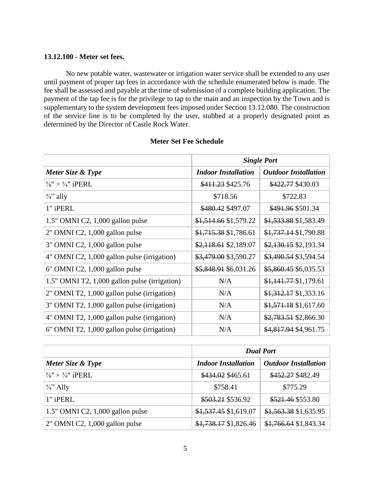### **13.12.100 - Meter set fees.**

No new potable water, wastewater or irrigation water service shall be extended to any user until payment of proper tap fees in accordance with the schedule enumerated below is made. The fee shall be assessed and payable at the time of submission of a complete building application. The payment of the tap fee is for the privilege to tap to the main and an inspection by the Town and is supplementary to the system development fees imposed under Section 13.12.080. The construction of the service line is to be completed by the user, stubbed at a properly designated point as determined by the Director of Castle Rock Water.

|                                               | <b>Single Port</b>         |                             |
|-----------------------------------------------|----------------------------|-----------------------------|
| Meter Size & Type                             | <b>Indoor Installation</b> | <b>Outdoor Installation</b> |
| $\frac{5}{8}$ " × $\frac{3}{4}$ " iPERL       | \$411.23 \$425.76          | \$422.77 \$430.03           |
| $\frac{3}{4}$ " ally                          | \$718.56                   | \$722.83                    |
| 1" iPERL                                      | \$480.42 \$497.07          | \$491.96 \$501.34           |
| $1.5$ " OMNI C2, $1,000$ gallon pulse         | \$1,514.66 \$1,579.22      | \$1,533.88 \$1,583.49       |
| 2" OMNI C2, 1,000 gallon pulse                | $$1,715.38$ \$1,786.61     | $$1,737.14$ \$1,790.88      |
| 3" OMNI C2, 1,000 gallon pulse                | $$2,118.61$ \$2,189.07     | $$2,130.15$ \$2,193.34      |
| 4" OMNI C2, 1,000 gallon pulse (irrigation)   | \$3,479.00 \$3,590.27      | \$3,490.54 \$3,594.54       |
| $6"$ OMNI C2, 1,000 gallon pulse              | \$5,848.91 \$6,031.26      | \$5,860.45 \$6,035.53       |
| 1.5" OMNI T2, 1,000 gallon pulse (irrigation) | N/A                        | \$1,141.77\$1,179.61        |
| 2" OMNI T2, 1,000 gallon pulse (irrigation)   | N/A                        | $$1,312.17$ \$1,353.16      |
| 3" OMNI T2, 1,000 gallon pulse (irrigation)   | N/A                        | $$1,571.18$ \$1,617.60      |
| 4" OMNI T2, 1,000 gallon pulse (irrigation)   | N/A                        | \$2,783.51 \$2,866.30       |
| 6" OMNI T2, 1,000 gallon pulse (irrigation)   | N/A                        | \$4,817.94 \$4,961.75       |

# **Meter Set Fee Schedule**

|                                         |                            | <b>Dual Port</b>            |  |
|-----------------------------------------|----------------------------|-----------------------------|--|
| Meter Size & Type                       | <b>Indoor Installation</b> | <b>Outdoor Installation</b> |  |
| $\frac{5}{8}$ " × $\frac{3}{4}$ " iPERL | \$434.02 \$465.61          | \$452.27 \$482.49           |  |
| $\frac{3}{4}$ <sup>2</sup> Ally         | \$758.41                   | \$775.29                    |  |
| 1" iPERL                                | \$503.21 \$536.92          | \$521.46 \$553.80           |  |
| $1.5$ " OMNI C2, 1,000 gallon pulse     | \$1,537.45 \$1,619.07      | $$1,563.38$ \$1,635.95      |  |
| $2$ " OMNI C2, 1,000 gallon pulse       | $$1,738.17$ \$1,826.46     | $$1,766.64$ \$1,843.34      |  |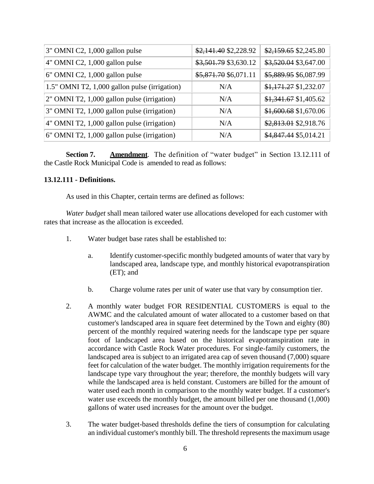| 3" OMNI C2, 1,000 gallon pulse                | \$2,141.40 \$2,228.92 | \$2,159.65 \$2,245.80  |
|-----------------------------------------------|-----------------------|------------------------|
| 4" OMNI C2, 1,000 gallon pulse                | \$3,501.79 \$3,630.12 | \$3,520.04 \$3,647.00  |
| 6" OMNI C2, 1,000 gallon pulse                | \$5,871.70 \$6,071.11 | \$5,889.95 \$6,087.99  |
| 1.5" OMNI T2, 1,000 gallon pulse (irrigation) | N/A                   | $$1,171.27$ \$1,232.07 |
| 2" OMNI T2, 1,000 gallon pulse (irrigation)   | N/A                   | $$1,341.67$ \$1,405.62 |
| 3" OMNI T2, 1,000 gallon pulse (irrigation)   | N/A                   | \$1,600.68 \$1,670.06  |
| 4" OMNI T2, 1,000 gallon pulse (irrigation)   | N/A                   | \$2,813.01 \$2,918.76  |
| 6" OMNI T2, 1,000 gallon pulse (irrigation)   | N/A                   | \$4,847.44 \$5,014.21  |

**Section 7. Amendment**. The definition of "water budget" in Section 13.12.111 of the Castle Rock Municipal Code is amended to read as follows:

### **13.12.111 - Definitions.**

As used in this Chapter, certain terms are defined as follows:

*Water budget* shall mean tailored water use allocations developed for each customer with rates that increase as the allocation is exceeded.

- 1. Water budget base rates shall be established to:
	- a. Identify customer-specific monthly budgeted amounts of water that vary by landscaped area, landscape type, and monthly historical evapotranspiration (ET); and
	- b. Charge volume rates per unit of water use that vary by consumption tier.
- 2. A monthly water budget FOR RESIDENTIAL CUSTOMERS is equal to the AWMC and the calculated amount of water allocated to a customer based on that customer's landscaped area in square feet determined by the Town and eighty (80) percent of the monthly required watering needs for the landscape type per square foot of landscaped area based on the historical evapotranspiration rate in accordance with Castle Rock Water procedures. For single-family customers, the landscaped area is subject to an irrigated area cap of seven thousand (7,000) square feet for calculation of the water budget. The monthly irrigation requirements for the landscape type vary throughout the year; therefore, the monthly budgets will vary while the landscaped area is held constant. Customers are billed for the amount of water used each month in comparison to the monthly water budget. If a customer's water use exceeds the monthly budget, the amount billed per one thousand  $(1,000)$ gallons of water used increases for the amount over the budget.
- 3. The water budget-based thresholds define the tiers of consumption for calculating an individual customer's monthly bill. The threshold represents the maximum usage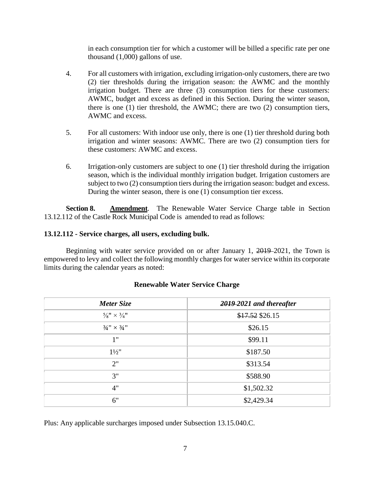in each consumption tier for which a customer will be billed a specific rate per one thousand (1,000) gallons of use.

- 4. For all customers with irrigation, excluding irrigation-only customers, there are two (2) tier thresholds during the irrigation season: the AWMC and the monthly irrigation budget. There are three (3) consumption tiers for these customers: AWMC, budget and excess as defined in this Section. During the winter season, there is one (1) tier threshold, the AWMC; there are two (2) consumption tiers, AWMC and excess.
- 5. For all customers: With indoor use only, there is one (1) tier threshold during both irrigation and winter seasons: AWMC. There are two (2) consumption tiers for these customers: AWMC and excess.
- 6. Irrigation-only customers are subject to one (1) tier threshold during the irrigation season, which is the individual monthly irrigation budget. Irrigation customers are subject to two (2) consumption tiers during the irrigation season: budget and excess. During the winter season, there is one (1) consumption tier excess.

**Section 8. Amendment**. The Renewable Water Service Charge table in Section 13.12.112 of the Castle Rock Municipal Code is amended to read as follows:

# **13.12.112 - Service charges, all users, excluding bulk.**

Beginning with water service provided on or after January 1, 2019 2021, the Town is empowered to levy and collect the following monthly charges for water service within its corporate limits during the calendar years as noted:

| Meter Size                        | 2019-2021 and thereafter |  |
|-----------------------------------|--------------------------|--|
| $\frac{5}{8}$ " × $\frac{3}{4}$ " | \$17.52 \$26.15          |  |
| $3/4" \times 3/4"$                | \$26.15                  |  |
| 1"                                | \$99.11                  |  |
| $1\frac{1}{2}$                    | \$187.50                 |  |
| 2"                                | \$313.54                 |  |
| 3"                                | \$588.90                 |  |
| 4"                                | \$1,502.32               |  |
| 6"                                | \$2,429.34               |  |

# **Renewable Water Service Charge**

Plus: Any applicable surcharges imposed under Subsection 13.15.040.C.